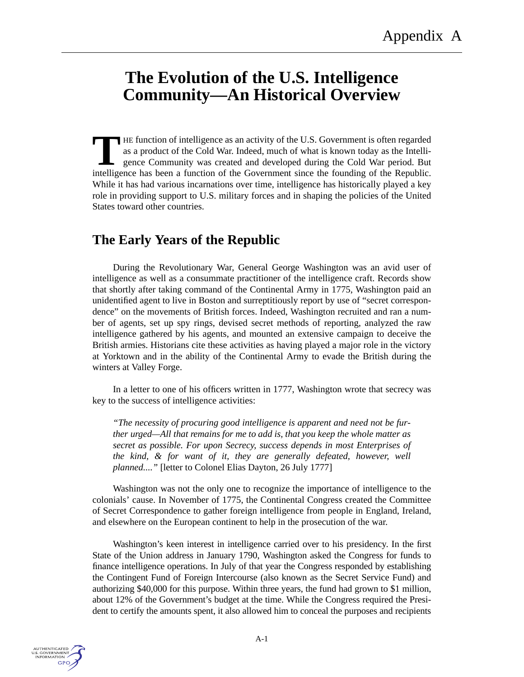# **The Evolution of the U.S. Intelligence Community—An Historical Overview**

HE function of intelligence as an activity of the U.S. Government is often regarded as a product of the Cold War. Indeed, much of what is known today as the Intelligence Community was created and developed during the Cold War period. But IF function of intelligence as an activity of the U.S. Government is often regarded as a product of the Cold War. Indeed, much of what is known today as the Intelligence Community was created and developed during the Cold While it has had various incarnations over time, intelligence has historically played a key role in providing support to U.S. military forces and in shaping the policies of the United States toward other countries.

## **The Early Years of the Republic**

During the Revolutionary War, General George Washington was an avid user of intelligence as well as a consummate practitioner of the intelligence craft. Records show that shortly after taking command of the Continental Army in 1775, Washington paid an unidentified agent to live in Boston and surreptitiously report by use of "secret correspondence" on the movements of British forces. Indeed, Washington recruited and ran a number of agents, set up spy rings, devised secret methods of reporting, analyzed the raw intelligence gathered by his agents, and mounted an extensive campaign to deceive the British armies. Historians cite these activities as having played a major role in the victory at Yorktown and in the ability of the Continental Army to evade the British during the winters at Valley Forge.

In a letter to one of his officers written in 1777, Washington wrote that secrecy was key to the success of intelligence activities:

*"The necessity of procuring good intelligence is apparent and need not be further urged—All that remains for me to add is, that you keep the whole matter as secret as possible. For upon Secrecy, success depends in most Enterprises of the kind, & for want of it, they are generally defeated, however, well planned...."* [letter to Colonel Elias Dayton, 26 July 1777]

Washington was not the only one to recognize the importance of intelligence to the colonials' cause. In November of 1775, the Continental Congress created the Committee of Secret Correspondence to gather foreign intelligence from people in England, Ireland, and elsewhere on the European continent to help in the prosecution of the war.

Washington's keen interest in intelligence carried over to his presidency. In the first State of the Union address in January 1790, Washington asked the Congress for funds to finance intelligence operations. In July of that year the Congress responded by establishing the Contingent Fund of Foreign Intercourse (also known as the Secret Service Fund) and authorizing \$40,000 for this purpose. Within three years, the fund had grown to \$1 million, about 12% of the Government's budget at the time. While the Congress required the President to certify the amounts spent, it also allowed him to conceal the purposes and recipients

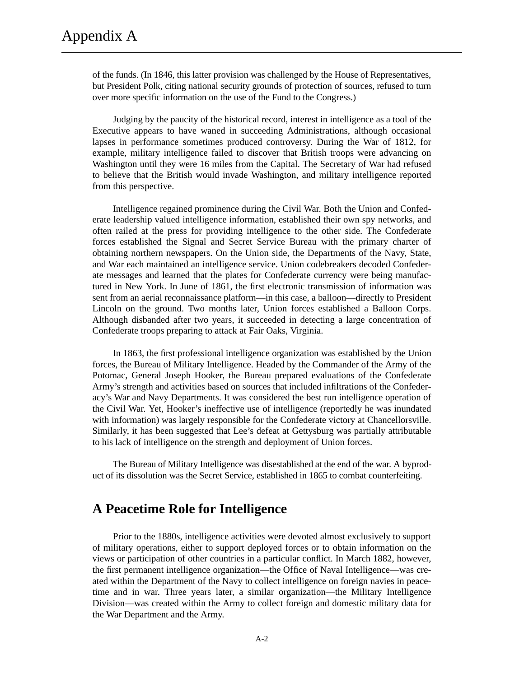of the funds. (In 1846, this latter provision was challenged by the House of Representatives, but President Polk, citing national security grounds of protection of sources, refused to turn over more specific information on the use of the Fund to the Congress.)

Judging by the paucity of the historical record, interest in intelligence as a tool of the Executive appears to have waned in succeeding Administrations, although occasional lapses in performance sometimes produced controversy. During the War of 1812, for example, military intelligence failed to discover that British troops were advancing on Washington until they were 16 miles from the Capital. The Secretary of War had refused to believe that the British would invade Washington, and military intelligence reported from this perspective.

Intelligence regained prominence during the Civil War. Both the Union and Confederate leadership valued intelligence information, established their own spy networks, and often railed at the press for providing intelligence to the other side. The Confederate forces established the Signal and Secret Service Bureau with the primary charter of obtaining northern newspapers. On the Union side, the Departments of the Navy, State, and War each maintained an intelligence service. Union codebreakers decoded Confederate messages and learned that the plates for Confederate currency were being manufactured in New York. In June of 1861, the first electronic transmission of information was sent from an aerial reconnaissance platform—in this case, a balloon—directly to President Lincoln on the ground. Two months later, Union forces established a Balloon Corps. Although disbanded after two years, it succeeded in detecting a large concentration of Confederate troops preparing to attack at Fair Oaks, Virginia.

In 1863, the first professional intelligence organization was established by the Union forces, the Bureau of Military Intelligence. Headed by the Commander of the Army of the Potomac, General Joseph Hooker, the Bureau prepared evaluations of the Confederate Army's strength and activities based on sources that included infiltrations of the Confederacy's War and Navy Departments. It was considered the best run intelligence operation of the Civil War. Yet, Hooker's ineffective use of intelligence (reportedly he was inundated with information) was largely responsible for the Confederate victory at Chancellorsville. Similarly, it has been suggested that Lee's defeat at Gettysburg was partially attributable to his lack of intelligence on the strength and deployment of Union forces.

The Bureau of Military Intelligence was disestablished at the end of the war. A byproduct of its dissolution was the Secret Service, established in 1865 to combat counterfeiting.

## **A Peacetime Role for Intelligence**

Prior to the 1880s, intelligence activities were devoted almost exclusively to support of military operations, either to support deployed forces or to obtain information on the views or participation of other countries in a particular conflict. In March 1882, however, the first permanent intelligence organization—the Office of Naval Intelligence—was created within the Department of the Navy to collect intelligence on foreign navies in peacetime and in war. Three years later, a similar organization—the Military Intelligence Division—was created within the Army to collect foreign and domestic military data for the War Department and the Army.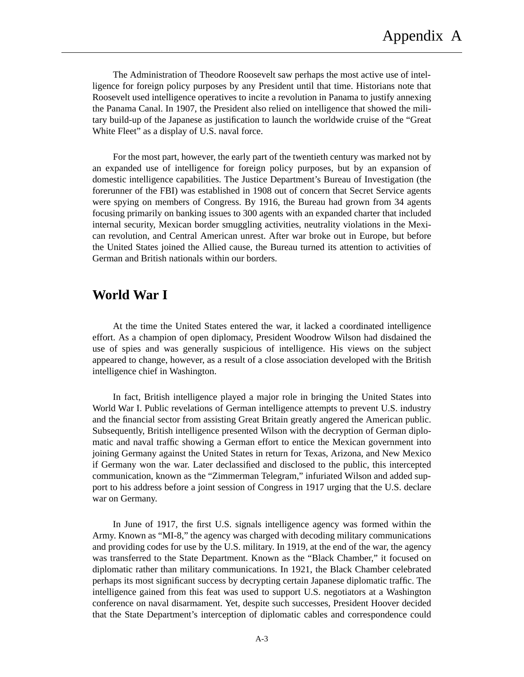The Administration of Theodore Roosevelt saw perhaps the most active use of intelligence for foreign policy purposes by any President until that time. Historians note that Roosevelt used intelligence operatives to incite a revolution in Panama to justify annexing the Panama Canal. In 1907, the President also relied on intelligence that showed the military build-up of the Japanese as justification to launch the worldwide cruise of the "Great White Fleet" as a display of U.S. naval force.

For the most part, however, the early part of the twentieth century was marked not by an expanded use of intelligence for foreign policy purposes, but by an expansion of domestic intelligence capabilities. The Justice Department's Bureau of Investigation (the forerunner of the FBI) was established in 1908 out of concern that Secret Service agents were spying on members of Congress. By 1916, the Bureau had grown from 34 agents focusing primarily on banking issues to 300 agents with an expanded charter that included internal security, Mexican border smuggling activities, neutrality violations in the Mexican revolution, and Central American unrest. After war broke out in Europe, but before the United States joined the Allied cause, the Bureau turned its attention to activities of German and British nationals within our borders.

## **World War I**

At the time the United States entered the war, it lacked a coordinated intelligence effort. As a champion of open diplomacy, President Woodrow Wilson had disdained the use of spies and was generally suspicious of intelligence. His views on the subject appeared to change, however, as a result of a close association developed with the British intelligence chief in Washington.

In fact, British intelligence played a major role in bringing the United States into World War I. Public revelations of German intelligence attempts to prevent U.S. industry and the financial sector from assisting Great Britain greatly angered the American public. Subsequently, British intelligence presented Wilson with the decryption of German diplomatic and naval traffic showing a German effort to entice the Mexican government into joining Germany against the United States in return for Texas, Arizona, and New Mexico if Germany won the war. Later declassified and disclosed to the public, this intercepted communication, known as the "Zimmerman Telegram," infuriated Wilson and added support to his address before a joint session of Congress in 1917 urging that the U.S. declare war on Germany.

In June of 1917, the first U.S. signals intelligence agency was formed within the Army. Known as "MI-8," the agency was charged with decoding military communications and providing codes for use by the U.S. military. In 1919, at the end of the war, the agency was transferred to the State Department. Known as the "Black Chamber," it focused on diplomatic rather than military communications. In 1921, the Black Chamber celebrated perhaps its most significant success by decrypting certain Japanese diplomatic traffic. The intelligence gained from this feat was used to support U.S. negotiators at a Washington conference on naval disarmament. Yet, despite such successes, President Hoover decided that the State Department's interception of diplomatic cables and correspondence could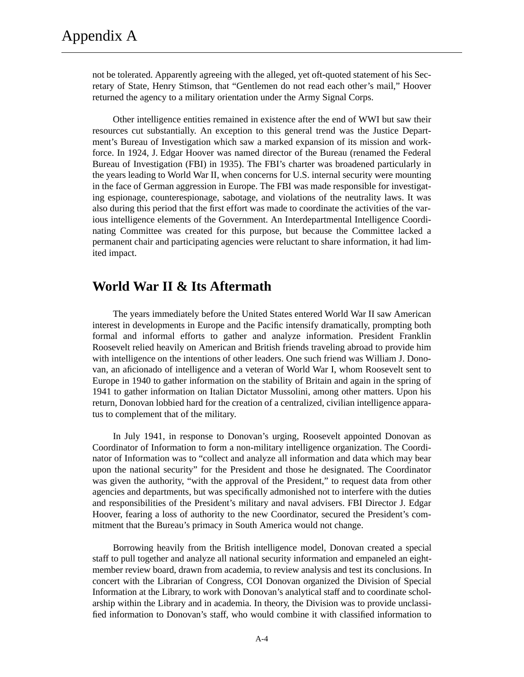not be tolerated. Apparently agreeing with the alleged, yet oft-quoted statement of his Secretary of State, Henry Stimson, that "Gentlemen do not read each other's mail," Hoover returned the agency to a military orientation under the Army Signal Corps.

Other intelligence entities remained in existence after the end of WWI but saw their resources cut substantially. An exception to this general trend was the Justice Department's Bureau of Investigation which saw a marked expansion of its mission and workforce. In 1924, J. Edgar Hoover was named director of the Bureau (renamed the Federal Bureau of Investigation (FBI) in 1935). The FBI's charter was broadened particularly in the years leading to World War II, when concerns for U.S. internal security were mounting in the face of German aggression in Europe. The FBI was made responsible for investigating espionage, counterespionage, sabotage, and violations of the neutrality laws. It was also during this period that the first effort was made to coordinate the activities of the various intelligence elements of the Government. An Interdepartmental Intelligence Coordinating Committee was created for this purpose, but because the Committee lacked a permanent chair and participating agencies were reluctant to share information, it had limited impact.

## **World War II & Its Aftermath**

The years immediately before the United States entered World War II saw American interest in developments in Europe and the Pacific intensify dramatically, prompting both formal and informal efforts to gather and analyze information. President Franklin Roosevelt relied heavily on American and British friends traveling abroad to provide him with intelligence on the intentions of other leaders. One such friend was William J. Donovan, an aficionado of intelligence and a veteran of World War I, whom Roosevelt sent to Europe in 1940 to gather information on the stability of Britain and again in the spring of 1941 to gather information on Italian Dictator Mussolini, among other matters. Upon his return, Donovan lobbied hard for the creation of a centralized, civilian intelligence apparatus to complement that of the military.

In July 1941, in response to Donovan's urging, Roosevelt appointed Donovan as Coordinator of Information to form a non-military intelligence organization. The Coordinator of Information was to "collect and analyze all information and data which may bear upon the national security" for the President and those he designated. The Coordinator was given the authority, "with the approval of the President," to request data from other agencies and departments, but was specifically admonished not to interfere with the duties and responsibilities of the President's military and naval advisers. FBI Director J. Edgar Hoover, fearing a loss of authority to the new Coordinator, secured the President's commitment that the Bureau's primacy in South America would not change.

Borrowing heavily from the British intelligence model, Donovan created a special staff to pull together and analyze all national security information and empaneled an eightmember review board, drawn from academia, to review analysis and test its conclusions. In concert with the Librarian of Congress, COI Donovan organized the Division of Special Information at the Library, to work with Donovan's analytical staff and to coordinate scholarship within the Library and in academia. In theory, the Division was to provide unclassified information to Donovan's staff, who would combine it with classified information to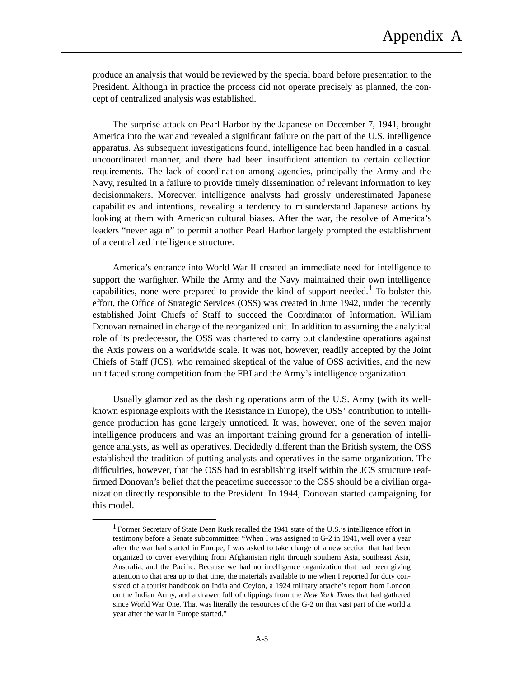produce an analysis that would be reviewed by the special board before presentation to the President. Although in practice the process did not operate precisely as planned, the concept of centralized analysis was established.

The surprise attack on Pearl Harbor by the Japanese on December 7, 1941, brought America into the war and revealed a significant failure on the part of the U.S. intelligence apparatus. As subsequent investigations found, intelligence had been handled in a casual, uncoordinated manner, and there had been insufficient attention to certain collection requirements. The lack of coordination among agencies, principally the Army and the Navy, resulted in a failure to provide timely dissemination of relevant information to key decisionmakers. Moreover, intelligence analysts had grossly underestimated Japanese capabilities and intentions, revealing a tendency to misunderstand Japanese actions by looking at them with American cultural biases. After the war, the resolve of America's leaders "never again" to permit another Pearl Harbor largely prompted the establishment of a centralized intelligence structure.

America's entrance into World War II created an immediate need for intelligence to support the warfighter. While the Army and the Navy maintained their own intelligence capabilities, none were prepared to provide the kind of support needed.<sup>1</sup> To bolster this effort, the Office of Strategic Services (OSS) was created in June 1942, under the recently established Joint Chiefs of Staff to succeed the Coordinator of Information. William Donovan remained in charge of the reorganized unit. In addition to assuming the analytical role of its predecessor, the OSS was chartered to carry out clandestine operations against the Axis powers on a worldwide scale. It was not, however, readily accepted by the Joint Chiefs of Staff (JCS), who remained skeptical of the value of OSS activities, and the new unit faced strong competition from the FBI and the Army's intelligence organization.

Usually glamorized as the dashing operations arm of the U.S. Army (with its wellknown espionage exploits with the Resistance in Europe), the OSS' contribution to intelligence production has gone largely unnoticed. It was, however, one of the seven major intelligence producers and was an important training ground for a generation of intelligence analysts, as well as operatives. Decidedly different than the British system, the OSS established the tradition of putting analysts and operatives in the same organization. The difficulties, however, that the OSS had in establishing itself within the JCS structure reaffirmed Donovan's belief that the peacetime successor to the OSS should be a civilian organization directly responsible to the President. In 1944, Donovan started campaigning for this model.

<sup>&</sup>lt;sup>1</sup> Former Secretary of State Dean Rusk recalled the 1941 state of the U.S.'s intelligence effort in testimony before a Senate subcommittee: "When I was assigned to G-2 in 1941, well over a year after the war had started in Europe, I was asked to take charge of a new section that had been organized to cover everything from Afghanistan right through southern Asia, southeast Asia, Australia, and the Pacific. Because we had no intelligence organization that had been giving attention to that area up to that time, the materials available to me when I reported for duty consisted of a tourist handbook on India and Ceylon, a 1924 military attache's report from London on the Indian Army, and a drawer full of clippings from the *New York Times* that had gathered since World War One. That was literally the resources of the G-2 on that vast part of the world a year after the war in Europe started."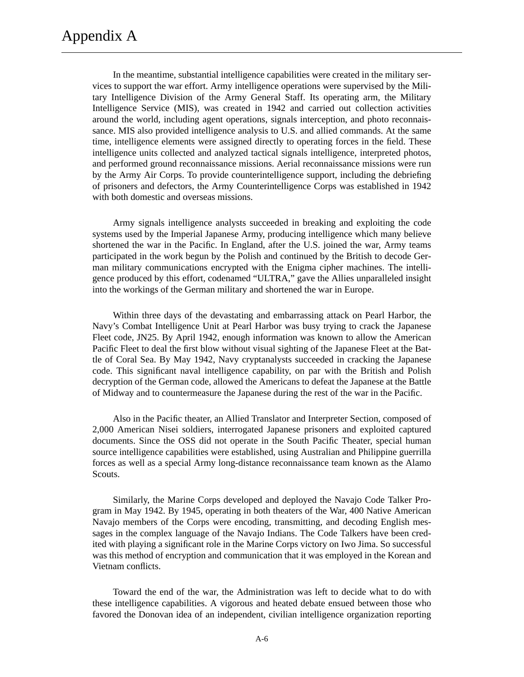In the meantime, substantial intelligence capabilities were created in the military services to support the war effort. Army intelligence operations were supervised by the Military Intelligence Division of the Army General Staff. Its operating arm, the Military Intelligence Service (MIS), was created in 1942 and carried out collection activities around the world, including agent operations, signals interception, and photo reconnaissance. MIS also provided intelligence analysis to U.S. and allied commands. At the same time, intelligence elements were assigned directly to operating forces in the field. These intelligence units collected and analyzed tactical signals intelligence, interpreted photos, and performed ground reconnaissance missions. Aerial reconnaissance missions were run by the Army Air Corps. To provide counterintelligence support, including the debriefing of prisoners and defectors, the Army Counterintelligence Corps was established in 1942 with both domestic and overseas missions.

Army signals intelligence analysts succeeded in breaking and exploiting the code systems used by the Imperial Japanese Army, producing intelligence which many believe shortened the war in the Pacific. In England, after the U.S. joined the war, Army teams participated in the work begun by the Polish and continued by the British to decode German military communications encrypted with the Enigma cipher machines. The intelligence produced by this effort, codenamed "ULTRA," gave the Allies unparalleled insight into the workings of the German military and shortened the war in Europe.

Within three days of the devastating and embarrassing attack on Pearl Harbor, the Navy's Combat Intelligence Unit at Pearl Harbor was busy trying to crack the Japanese Fleet code, JN25. By April 1942, enough information was known to allow the American Pacific Fleet to deal the first blow without visual sighting of the Japanese Fleet at the Battle of Coral Sea. By May 1942, Navy cryptanalysts succeeded in cracking the Japanese code. This significant naval intelligence capability, on par with the British and Polish decryption of the German code, allowed the Americans to defeat the Japanese at the Battle of Midway and to countermeasure the Japanese during the rest of the war in the Pacific.

Also in the Pacific theater, an Allied Translator and Interpreter Section, composed of 2,000 American Nisei soldiers, interrogated Japanese prisoners and exploited captured documents. Since the OSS did not operate in the South Pacific Theater, special human source intelligence capabilities were established, using Australian and Philippine guerrilla forces as well as a special Army long-distance reconnaissance team known as the Alamo Scouts.

Similarly, the Marine Corps developed and deployed the Navajo Code Talker Program in May 1942. By 1945, operating in both theaters of the War, 400 Native American Navajo members of the Corps were encoding, transmitting, and decoding English messages in the complex language of the Navajo Indians. The Code Talkers have been credited with playing a significant role in the Marine Corps victory on Iwo Jima. So successful was this method of encryption and communication that it was employed in the Korean and Vietnam conflicts.

Toward the end of the war, the Administration was left to decide what to do with these intelligence capabilities. A vigorous and heated debate ensued between those who favored the Donovan idea of an independent, civilian intelligence organization reporting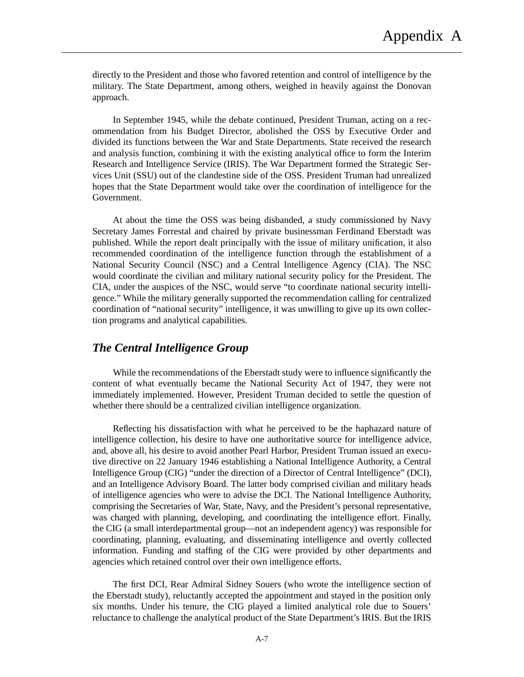directly to the President and those who favored retention and control of intelligence by the military. The State Department, among others, weighed in heavily against the Donovan approach.

In September 1945, while the debate continued, President Truman, acting on a recommendation from his Budget Director, abolished the OSS by Executive Order and divided its functions between the War and State Departments. State received the research and analysis function, combining it with the existing analytical office to form the Interim Research and Intelligence Service (IRIS). The War Department formed the Strategic Services Unit (SSU) out of the clandestine side of the OSS. President Truman had unrealized hopes that the State Department would take over the coordination of intelligence for the Government.

At about the time the OSS was being disbanded, a study commissioned by Navy Secretary James Forrestal and chaired by private businessman Ferdinand Eberstadt was published. While the report dealt principally with the issue of military unification, it also recommended coordination of the intelligence function through the establishment of a National Security Council (NSC) and a Central Intelligence Agency (CIA). The NSC would coordinate the civilian and military national security policy for the President. The CIA, under the auspices of the NSC, would serve "to coordinate national security intelligence." While the military generally supported the recommendation calling for centralized coordination of "national security" intelligence, it was unwilling to give up its own collection programs and analytical capabilities.

## *The Central Intelligence Group*

While the recommendations of the Eberstadt study were to influence significantly the content of what eventually became the National Security Act of 1947, they were not immediately implemented. However, President Truman decided to settle the question of whether there should be a centralized civilian intelligence organization.

Reflecting his dissatisfaction with what he perceived to be the haphazard nature of intelligence collection, his desire to have one authoritative source for intelligence advice, and, above all, his desire to avoid another Pearl Harbor, President Truman issued an executive directive on 22 January 1946 establishing a National Intelligence Authority, a Central Intelligence Group (CIG) "under the direction of a Director of Central Intelligence" (DCI), and an Intelligence Advisory Board. The latter body comprised civilian and military heads of intelligence agencies who were to advise the DCI. The National Intelligence Authority, comprising the Secretaries of War, State, Navy, and the President's personal representative, was charged with planning, developing, and coordinating the intelligence effort. Finally, the CIG (a small interdepartmental group—not an independent agency) was responsible for coordinating, planning, evaluating, and disseminating intelligence and overtly collected information. Funding and staffing of the CIG were provided by other departments and agencies which retained control over their own intelligence efforts.

The first DCI, Rear Admiral Sidney Souers (who wrote the intelligence section of the Eberstadt study), reluctantly accepted the appointment and stayed in the position only six months. Under his tenure, the CIG played a limited analytical role due to Souers' reluctance to challenge the analytical product of the State Department's IRIS. But the IRIS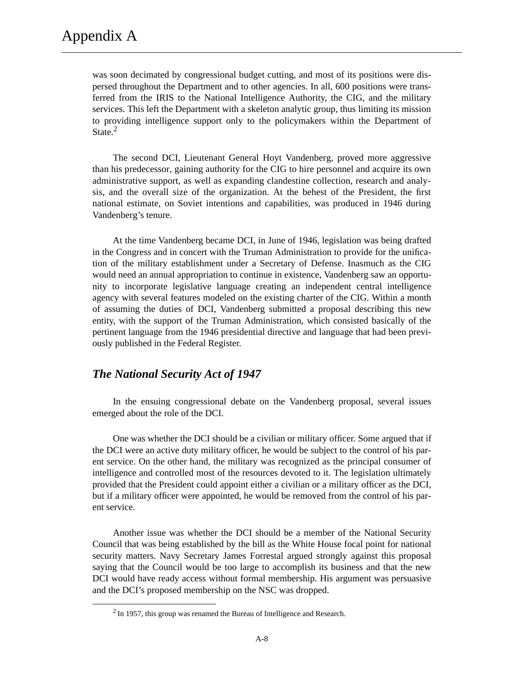was soon decimated by congressional budget cutting, and most of its positions were dispersed throughout the Department and to other agencies. In all, 600 positions were transferred from the IRIS to the National Intelligence Authority, the CIG, and the military services. This left the Department with a skeleton analytic group, thus limiting its mission to providing intelligence support only to the policymakers within the Department of State.<sup>2</sup>

The second DCI, Lieutenant General Hoyt Vandenberg, proved more aggressive than his predecessor, gaining authority for the CIG to hire personnel and acquire its own administrative support, as well as expanding clandestine collection, research and analysis, and the overall size of the organization. At the behest of the President, the first national estimate, on Soviet intentions and capabilities, was produced in 1946 during Vandenberg's tenure.

At the time Vandenberg became DCI, in June of 1946, legislation was being drafted in the Congress and in concert with the Truman Administration to provide for the unification of the military establishment under a Secretary of Defense. Inasmuch as the CIG would need an annual appropriation to continue in existence, Vandenberg saw an opportunity to incorporate legislative language creating an independent central intelligence agency with several features modeled on the existing charter of the CIG. Within a month of assuming the duties of DCI, Vandenberg submitted a proposal describing this new entity, with the support of the Truman Administration, which consisted basically of the pertinent language from the 1946 presidential directive and language that had been previously published in the Federal Register.

## *The National Security Act of 1947*

In the ensuing congressional debate on the Vandenberg proposal, several issues emerged about the role of the DCI.

One was whether the DCI should be a civilian or military officer. Some argued that if the DCI were an active duty military officer, he would be subject to the control of his parent service. On the other hand, the military was recognized as the principal consumer of intelligence and controlled most of the resources devoted to it. The legislation ultimately provided that the President could appoint either a civilian or a military officer as the DCI, but if a military officer were appointed, he would be removed from the control of his parent service.

Another issue was whether the DCI should be a member of the National Security Council that was being established by the bill as the White House focal point for national security matters. Navy Secretary James Forrestal argued strongly against this proposal saying that the Council would be too large to accomplish its business and that the new DCI would have ready access without formal membership. His argument was persuasive and the DCI's proposed membership on the NSC was dropped.

 $^{2}$  In 1957, this group was renamed the Bureau of Intelligence and Research.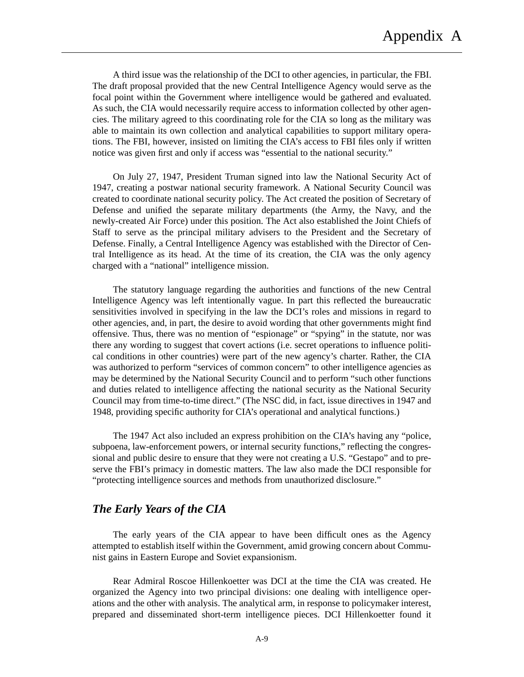A third issue was the relationship of the DCI to other agencies, in particular, the FBI. The draft proposal provided that the new Central Intelligence Agency would serve as the focal point within the Government where intelligence would be gathered and evaluated. As such, the CIA would necessarily require access to information collected by other agencies. The military agreed to this coordinating role for the CIA so long as the military was able to maintain its own collection and analytical capabilities to support military operations. The FBI, however, insisted on limiting the CIA's access to FBI files only if written notice was given first and only if access was "essential to the national security."

On July 27, 1947, President Truman signed into law the National Security Act of 1947, creating a postwar national security framework. A National Security Council was created to coordinate national security policy. The Act created the position of Secretary of Defense and unified the separate military departments (the Army, the Navy, and the newly-created Air Force) under this position. The Act also established the Joint Chiefs of Staff to serve as the principal military advisers to the President and the Secretary of Defense. Finally, a Central Intelligence Agency was established with the Director of Central Intelligence as its head. At the time of its creation, the CIA was the only agency charged with a "national" intelligence mission.

The statutory language regarding the authorities and functions of the new Central Intelligence Agency was left intentionally vague. In part this reflected the bureaucratic sensitivities involved in specifying in the law the DCI's roles and missions in regard to other agencies, and, in part, the desire to avoid wording that other governments might find offensive. Thus, there was no mention of "espionage" or "spying" in the statute, nor was there any wording to suggest that covert actions (i.e. secret operations to influence political conditions in other countries) were part of the new agency's charter. Rather, the CIA was authorized to perform "services of common concern" to other intelligence agencies as may be determined by the National Security Council and to perform "such other functions and duties related to intelligence affecting the national security as the National Security Council may from time-to-time direct." (The NSC did, in fact, issue directives in 1947 and 1948, providing specific authority for CIA's operational and analytical functions.)

The 1947 Act also included an express prohibition on the CIA's having any "police, subpoena, law-enforcement powers, or internal security functions," reflecting the congressional and public desire to ensure that they were not creating a U.S. "Gestapo" and to preserve the FBI's primacy in domestic matters. The law also made the DCI responsible for "protecting intelligence sources and methods from unauthorized disclosure."

## *The Early Years of the CIA*

The early years of the CIA appear to have been difficult ones as the Agency attempted to establish itself within the Government, amid growing concern about Communist gains in Eastern Europe and Soviet expansionism.

Rear Admiral Roscoe Hillenkoetter was DCI at the time the CIA was created. He organized the Agency into two principal divisions: one dealing with intelligence operations and the other with analysis. The analytical arm, in response to policymaker interest, prepared and disseminated short-term intelligence pieces. DCI Hillenkoetter found it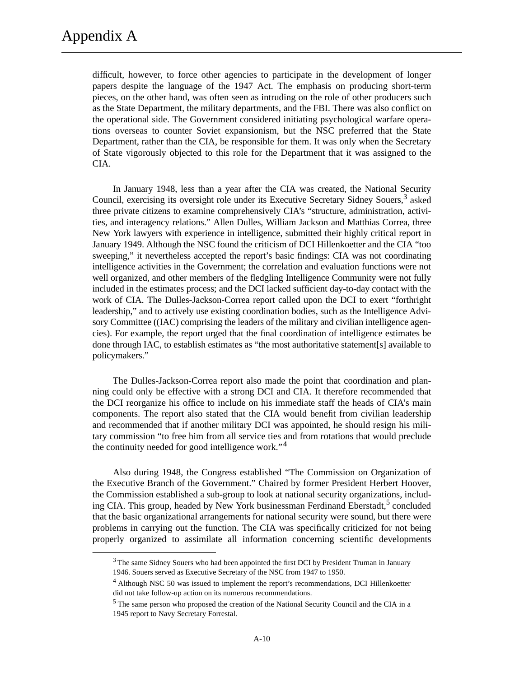difficult, however, to force other agencies to participate in the development of longer papers despite the language of the 1947 Act. The emphasis on producing short-term pieces, on the other hand, was often seen as intruding on the role of other producers such as the State Department, the military departments, and the FBI. There was also conflict on the operational side. The Government considered initiating psychological warfare operations overseas to counter Soviet expansionism, but the NSC preferred that the State Department, rather than the CIA, be responsible for them. It was only when the Secretary of State vigorously objected to this role for the Department that it was assigned to the CIA.

In January 1948, less than a year after the CIA was created, the National Security Council, exercising its oversight role under its Executive Secretary Sidney Souers,<sup>3</sup> asked three private citizens to examine comprehensively CIA's "structure, administration, activities, and interagency relations." Allen Dulles, William Jackson and Matthias Correa, three New York lawyers with experience in intelligence, submitted their highly critical report in January 1949. Although the NSC found the criticism of DCI Hillenkoetter and the CIA "too sweeping," it nevertheless accepted the report's basic findings: CIA was not coordinating intelligence activities in the Government; the correlation and evaluation functions were not well organized, and other members of the fledgling Intelligence Community were not fully included in the estimates process; and the DCI lacked sufficient day-to-day contact with the work of CIA. The Dulles-Jackson-Correa report called upon the DCI to exert "forthright leadership," and to actively use existing coordination bodies, such as the Intelligence Advisory Committee ((IAC) comprising the leaders of the military and civilian intelligence agencies). For example, the report urged that the final coordination of intelligence estimates be done through IAC, to establish estimates as "the most authoritative statement[s] available to policymakers."

The Dulles-Jackson-Correa report also made the point that coordination and planning could only be effective with a strong DCI and CIA. It therefore recommended that the DCI reorganize his office to include on his immediate staff the heads of CIA's main components. The report also stated that the CIA would benefit from civilian leadership and recommended that if another military DCI was appointed, he should resign his military commission "to free him from all service ties and from rotations that would preclude the continuity needed for good intelligence work." $4$ 

Also during 1948, the Congress established "The Commission on Organization of the Executive Branch of the Government." Chaired by former President Herbert Hoover, the Commission established a sub-group to look at national security organizations, including CIA. This group, headed by New York businessman Ferdinand Eberstadt, $\frac{5}{2}$  concluded that the basic organizational arrangements for national security were sound, but there were problems in carrying out the function. The CIA was specifically criticized for not being properly organized to assimilate all information concerning scientific developments

<sup>&</sup>lt;sup>3</sup> The same Sidney Souers who had been appointed the first DCI by President Truman in January 1946. Souers served as Executive Secretary of the NSC from 1947 to 1950.

<sup>&</sup>lt;sup>4</sup> Although NSC 50 was issued to implement the report's recommendations, DCI Hillenkoetter did not take follow-up action on its numerous recommendations.

<sup>5</sup> The same person who proposed the creation of the National Security Council and the CIA in a 1945 report to Navy Secretary Forrestal.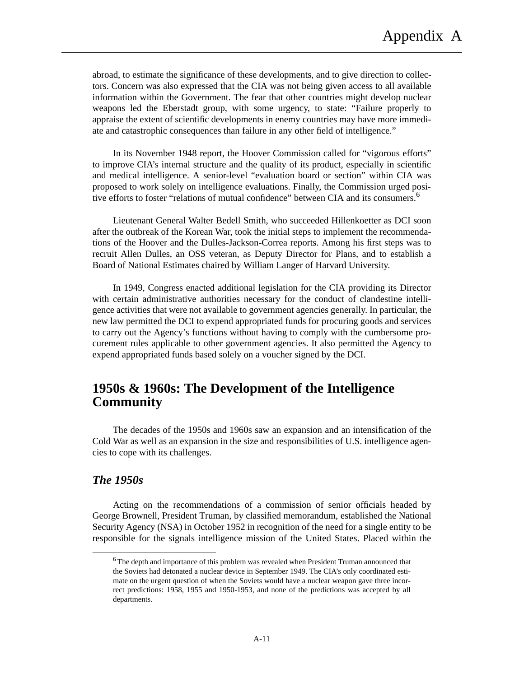abroad, to estimate the significance of these developments, and to give direction to collectors. Concern was also expressed that the CIA was not being given access to all available information within the Government. The fear that other countries might develop nuclear weapons led the Eberstadt group, with some urgency, to state: "Failure properly to appraise the extent of scientific developments in enemy countries may have more immediate and catastrophic consequences than failure in any other field of intelligence."

In its November 1948 report, the Hoover Commission called for "vigorous efforts" to improve CIA's internal structure and the quality of its product, especially in scientific and medical intelligence. A senior-level "evaluation board or section" within CIA was proposed to work solely on intelligence evaluations. Finally, the Commission urged positive efforts to foster "relations of mutual confidence" between CIA and its consumers.<sup>6</sup>

Lieutenant General Walter Bedell Smith, who succeeded Hillenkoetter as DCI soon after the outbreak of the Korean War, took the initial steps to implement the recommendations of the Hoover and the Dulles-Jackson-Correa reports. Among his first steps was to recruit Allen Dulles, an OSS veteran, as Deputy Director for Plans, and to establish a Board of National Estimates chaired by William Langer of Harvard University.

In 1949, Congress enacted additional legislation for the CIA providing its Director with certain administrative authorities necessary for the conduct of clandestine intelligence activities that were not available to government agencies generally. In particular, the new law permitted the DCI to expend appropriated funds for procuring goods and services to carry out the Agency's functions without having to comply with the cumbersome procurement rules applicable to other government agencies. It also permitted the Agency to expend appropriated funds based solely on a voucher signed by the DCI.

## **1950s & 1960s: The Development of the Intelligence Community**

The decades of the 1950s and 1960s saw an expansion and an intensification of the Cold War as well as an expansion in the size and responsibilities of U.S. intelligence agencies to cope with its challenges.

## *The 1950s*

Acting on the recommendations of a commission of senior officials headed by George Brownell, President Truman, by classified memorandum, established the National Security Agency (NSA) in October 1952 in recognition of the need for a single entity to be responsible for the signals intelligence mission of the United States. Placed within the

<sup>6</sup> The depth and importance of this problem was revealed when President Truman announced that the Soviets had detonated a nuclear device in September 1949. The CIA's only coordinated estimate on the urgent question of when the Soviets would have a nuclear weapon gave three incorrect predictions: 1958, 1955 and 1950-1953, and none of the predictions was accepted by all departments.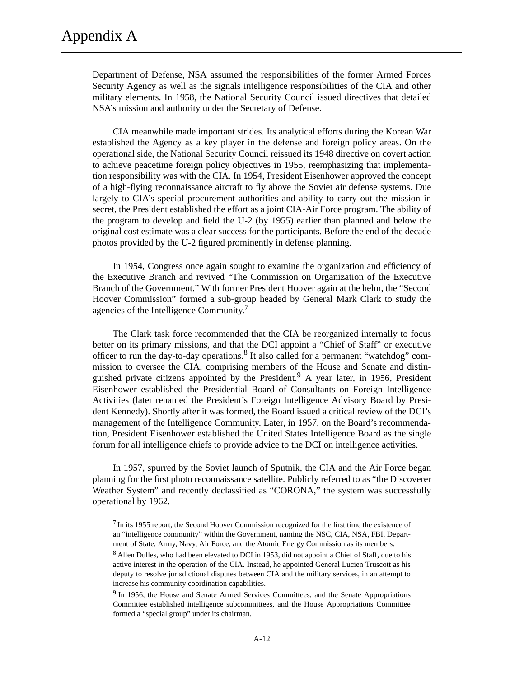Department of Defense, NSA assumed the responsibilities of the former Armed Forces Security Agency as well as the signals intelligence responsibilities of the CIA and other military elements. In 1958, the National Security Council issued directives that detailed NSA's mission and authority under the Secretary of Defense.

CIA meanwhile made important strides. Its analytical efforts during the Korean War established the Agency as a key player in the defense and foreign policy areas. On the operational side, the National Security Council reissued its 1948 directive on covert action to achieve peacetime foreign policy objectives in 1955, reemphasizing that implementation responsibility was with the CIA. In 1954, President Eisenhower approved the concept of a high-flying reconnaissance aircraft to fly above the Soviet air defense systems. Due largely to CIA's special procurement authorities and ability to carry out the mission in secret, the President established the effort as a joint CIA-Air Force program. The ability of the program to develop and field the U-2 (by 1955) earlier than planned and below the original cost estimate was a clear success for the participants. Before the end of the decade photos provided by the U-2 figured prominently in defense planning.

In 1954, Congress once again sought to examine the organization and efficiency of the Executive Branch and revived "The Commission on Organization of the Executive Branch of the Government." With former President Hoover again at the helm, the "Second Hoover Commission" formed a sub-group headed by General Mark Clark to study the agencies of the Intelligence Community.<sup>7</sup>

The Clark task force recommended that the CIA be reorganized internally to focus better on its primary missions, and that the DCI appoint a "Chief of Staff" or executive officer to run the day-to-day operations.<sup>8</sup> It also called for a permanent "watchdog" commission to oversee the CIA, comprising members of the House and Senate and distinguished private citizens appointed by the President.<sup>9</sup> A year later, in 1956, President Eisenhower established the Presidential Board of Consultants on Foreign Intelligence Activities (later renamed the President's Foreign Intelligence Advisory Board by President Kennedy). Shortly after it was formed, the Board issued a critical review of the DCI's management of the Intelligence Community. Later, in 1957, on the Board's recommendation, President Eisenhower established the United States Intelligence Board as the single forum for all intelligence chiefs to provide advice to the DCI on intelligence activities.

In 1957, spurred by the Soviet launch of Sputnik, the CIA and the Air Force began planning for the first photo reconnaissance satellite. Publicly referred to as "the Discoverer Weather System" and recently declassified as "CORONA," the system was successfully operational by 1962.

<sup>&</sup>lt;sup>7</sup> In its 1955 report, the Second Hoover Commission recognized for the first time the existence of an "intelligence community" within the Government, naming the NSC, CIA, NSA, FBI, Department of State, Army, Navy, Air Force, and the Atomic Energy Commission as its members.

<sup>&</sup>lt;sup>8</sup> Allen Dulles, who had been elevated to DCI in 1953, did not appoint a Chief of Staff, due to his active interest in the operation of the CIA. Instead, he appointed General Lucien Truscott as his deputy to resolve jurisdictional disputes between CIA and the military services, in an attempt to increase his community coordination capabilities.

<sup>&</sup>lt;sup>9</sup> In 1956, the House and Senate Armed Services Committees, and the Senate Appropriations Committee established intelligence subcommittees, and the House Appropriations Committee formed a "special group" under its chairman.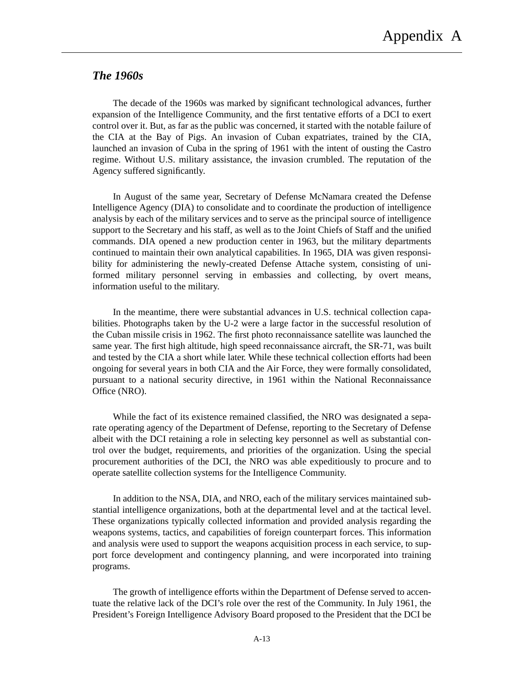## *The 1960s*

The decade of the 1960s was marked by significant technological advances, further expansion of the Intelligence Community, and the first tentative efforts of a DCI to exert control over it. But, as far as the public was concerned, it started with the notable failure of the CIA at the Bay of Pigs. An invasion of Cuban expatriates, trained by the CIA, launched an invasion of Cuba in the spring of 1961 with the intent of ousting the Castro regime. Without U.S. military assistance, the invasion crumbled. The reputation of the Agency suffered significantly.

In August of the same year, Secretary of Defense McNamara created the Defense Intelligence Agency (DIA) to consolidate and to coordinate the production of intelligence analysis by each of the military services and to serve as the principal source of intelligence support to the Secretary and his staff, as well as to the Joint Chiefs of Staff and the unified commands. DIA opened a new production center in 1963, but the military departments continued to maintain their own analytical capabilities. In 1965, DIA was given responsibility for administering the newly-created Defense Attache system, consisting of uniformed military personnel serving in embassies and collecting, by overt means, information useful to the military.

In the meantime, there were substantial advances in U.S. technical collection capabilities. Photographs taken by the U-2 were a large factor in the successful resolution of the Cuban missile crisis in 1962. The first photo reconnaissance satellite was launched the same year. The first high altitude, high speed reconnaissance aircraft, the SR-71, was built and tested by the CIA a short while later. While these technical collection efforts had been ongoing for several years in both CIA and the Air Force, they were formally consolidated, pursuant to a national security directive, in 1961 within the National Reconnaissance Office (NRO).

While the fact of its existence remained classified, the NRO was designated a separate operating agency of the Department of Defense, reporting to the Secretary of Defense albeit with the DCI retaining a role in selecting key personnel as well as substantial control over the budget, requirements, and priorities of the organization. Using the special procurement authorities of the DCI, the NRO was able expeditiously to procure and to operate satellite collection systems for the Intelligence Community.

In addition to the NSA, DIA, and NRO, each of the military services maintained substantial intelligence organizations, both at the departmental level and at the tactical level. These organizations typically collected information and provided analysis regarding the weapons systems, tactics, and capabilities of foreign counterpart forces. This information and analysis were used to support the weapons acquisition process in each service, to support force development and contingency planning, and were incorporated into training programs.

The growth of intelligence efforts within the Department of Defense served to accentuate the relative lack of the DCI's role over the rest of the Community. In July 1961, the President's Foreign Intelligence Advisory Board proposed to the President that the DCI be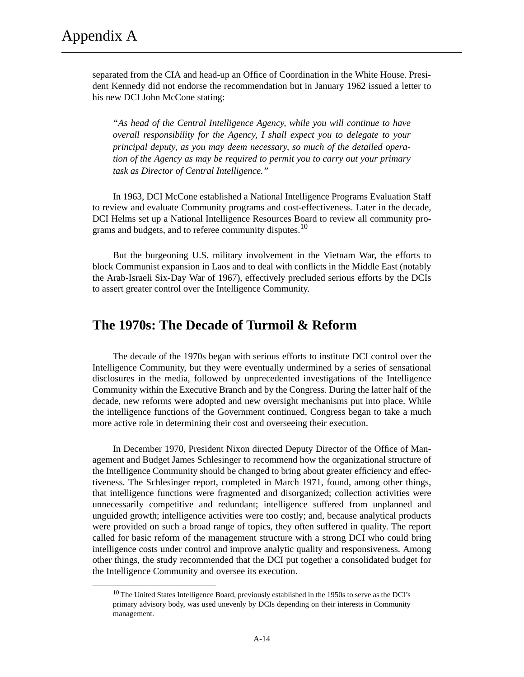separated from the CIA and head-up an Office of Coordination in the White House. President Kennedy did not endorse the recommendation but in January 1962 issued a letter to his new DCI John McCone stating:

*"As head of the Central Intelligence Agency, while you will continue to have overall responsibility for the Agency, I shall expect you to delegate to your principal deputy, as you may deem necessary, so much of the detailed operation of the Agency as may be required to permit you to carry out your primary task as Director of Central Intelligence."*

In 1963, DCI McCone established a National Intelligence Programs Evaluation Staff to review and evaluate Community programs and cost-effectiveness. Later in the decade, DCI Helms set up a National Intelligence Resources Board to review all community programs and budgets, and to referee community disputes.<sup>10</sup>

But the burgeoning U.S. military involvement in the Vietnam War, the efforts to block Communist expansion in Laos and to deal with conflicts in the Middle East (notably the Arab-Israeli Six-Day War of 1967), effectively precluded serious efforts by the DCIs to assert greater control over the Intelligence Community.

## **The 1970s: The Decade of Turmoil & Reform**

The decade of the 1970s began with serious efforts to institute DCI control over the Intelligence Community, but they were eventually undermined by a series of sensational disclosures in the media, followed by unprecedented investigations of the Intelligence Community within the Executive Branch and by the Congress. During the latter half of the decade, new reforms were adopted and new oversight mechanisms put into place. While the intelligence functions of the Government continued, Congress began to take a much more active role in determining their cost and overseeing their execution.

In December 1970, President Nixon directed Deputy Director of the Office of Management and Budget James Schlesinger to recommend how the organizational structure of the Intelligence Community should be changed to bring about greater efficiency and effectiveness. The Schlesinger report, completed in March 1971, found, among other things, that intelligence functions were fragmented and disorganized; collection activities were unnecessarily competitive and redundant; intelligence suffered from unplanned and unguided growth; intelligence activities were too costly; and, because analytical products were provided on such a broad range of topics, they often suffered in quality. The report called for basic reform of the management structure with a strong DCI who could bring intelligence costs under control and improve analytic quality and responsiveness. Among other things, the study recommended that the DCI put together a consolidated budget for the Intelligence Community and oversee its execution.

 $10$  The United States Intelligence Board, previously established in the 1950s to serve as the DCI's primary advisory body, was used unevenly by DCIs depending on their interests in Community management.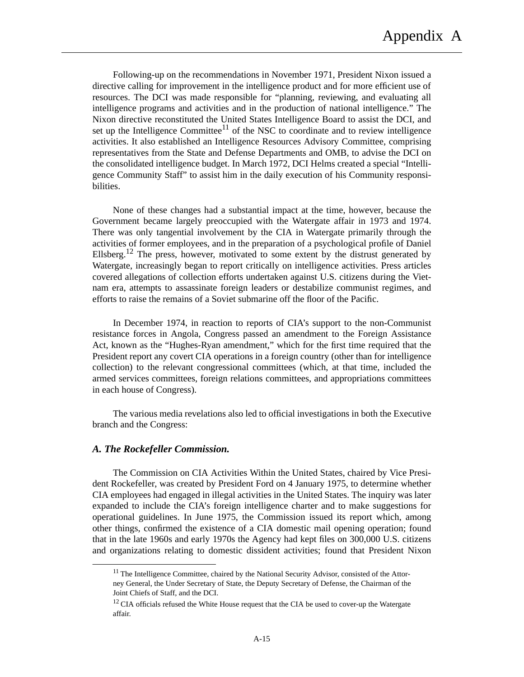Following-up on the recommendations in November 1971, President Nixon issued a directive calling for improvement in the intelligence product and for more efficient use of resources. The DCI was made responsible for "planning, reviewing, and evaluating all intelligence programs and activities and in the production of national intelligence." The Nixon directive reconstituted the United States Intelligence Board to assist the DCI, and set up the Intelligence Committee $11$  of the NSC to coordinate and to review intelligence activities. It also established an Intelligence Resources Advisory Committee, comprising representatives from the State and Defense Departments and OMB, to advise the DCI on the consolidated intelligence budget. In March 1972, DCI Helms created a special "Intelligence Community Staff" to assist him in the daily execution of his Community responsibilities.

None of these changes had a substantial impact at the time, however, because the Government became largely preoccupied with the Watergate affair in 1973 and 1974. There was only tangential involvement by the CIA in Watergate primarily through the activities of former employees, and in the preparation of a psychological profile of Daniel Ellsberg.<sup>12</sup> The press, however, motivated to some extent by the distrust generated by Watergate, increasingly began to report critically on intelligence activities. Press articles covered allegations of collection efforts undertaken against U.S. citizens during the Vietnam era, attempts to assassinate foreign leaders or destabilize communist regimes, and efforts to raise the remains of a Soviet submarine off the floor of the Pacific.

In December 1974, in reaction to reports of CIA's support to the non-Communist resistance forces in Angola, Congress passed an amendment to the Foreign Assistance Act, known as the "Hughes-Ryan amendment," which for the first time required that the President report any covert CIA operations in a foreign country (other than for intelligence collection) to the relevant congressional committees (which, at that time, included the armed services committees, foreign relations committees, and appropriations committees in each house of Congress).

The various media revelations also led to official investigations in both the Executive branch and the Congress:

#### *A. The Rockefeller Commission.*

The Commission on CIA Activities Within the United States, chaired by Vice President Rockefeller, was created by President Ford on 4 January 1975, to determine whether CIA employees had engaged in illegal activities in the United States. The inquiry was later expanded to include the CIA's foreign intelligence charter and to make suggestions for operational guidelines. In June 1975, the Commission issued its report which, among other things, confirmed the existence of a CIA domestic mail opening operation; found that in the late 1960s and early 1970s the Agency had kept files on 300,000 U.S. citizens and organizations relating to domestic dissident activities; found that President Nixon

 $11$  The Intelligence Committee, chaired by the National Security Advisor, consisted of the Attorney General, the Under Secretary of State, the Deputy Secretary of Defense, the Chairman of the Joint Chiefs of Staff, and the DCI.

 $12$  CIA officials refused the White House request that the CIA be used to cover-up the Watergate affair.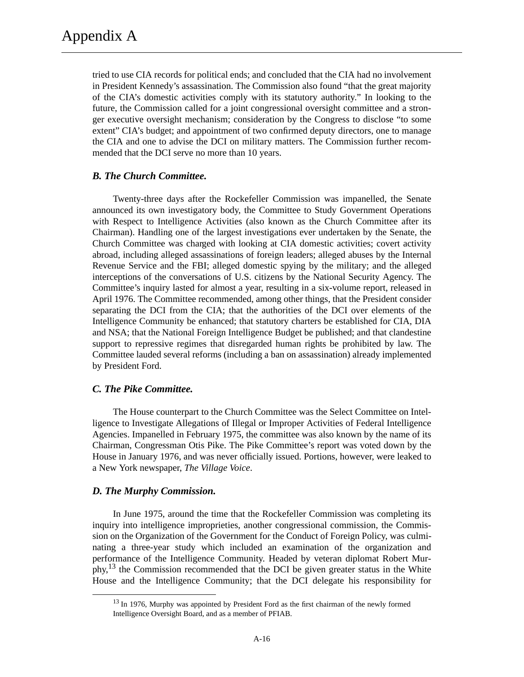tried to use CIA records for political ends; and concluded that the CIA had no involvement in President Kennedy's assassination. The Commission also found "that the great majority of the CIA's domestic activities comply with its statutory authority." In looking to the future, the Commission called for a joint congressional oversight committee and a stronger executive oversight mechanism; consideration by the Congress to disclose "to some extent" CIA's budget; and appointment of two confirmed deputy directors, one to manage the CIA and one to advise the DCI on military matters. The Commission further recommended that the DCI serve no more than 10 years.

#### *B. The Church Committee.*

Twenty-three days after the Rockefeller Commission was impanelled, the Senate announced its own investigatory body, the Committee to Study Government Operations with Respect to Intelligence Activities (also known as the Church Committee after its Chairman). Handling one of the largest investigations ever undertaken by the Senate, the Church Committee was charged with looking at CIA domestic activities; covert activity abroad, including alleged assassinations of foreign leaders; alleged abuses by the Internal Revenue Service and the FBI; alleged domestic spying by the military; and the alleged interceptions of the conversations of U.S. citizens by the National Security Agency. The Committee's inquiry lasted for almost a year, resulting in a six-volume report, released in April 1976. The Committee recommended, among other things, that the President consider separating the DCI from the CIA; that the authorities of the DCI over elements of the Intelligence Community be enhanced; that statutory charters be established for CIA, DIA and NSA; that the National Foreign Intelligence Budget be published; and that clandestine support to repressive regimes that disregarded human rights be prohibited by law. The Committee lauded several reforms (including a ban on assassination) already implemented by President Ford.

#### *C. The Pike Committee.*

The House counterpart to the Church Committee was the Select Committee on Intelligence to Investigate Allegations of Illegal or Improper Activities of Federal Intelligence Agencies. Impanelled in February 1975, the committee was also known by the name of its Chairman, Congressman Otis Pike. The Pike Committee's report was voted down by the House in January 1976, and was never officially issued. Portions, however, were leaked to a New York newspaper, *The Village Voice*.

#### *D. The Murphy Commission.*

In June 1975, around the time that the Rockefeller Commission was completing its inquiry into intelligence improprieties, another congressional commission, the Commission on the Organization of the Government for the Conduct of Foreign Policy, was culminating a three-year study which included an examination of the organization and performance of the Intelligence Community. Headed by veteran diplomat Robert Mur $phy$ ,<sup>13</sup> the Commission recommended that the DCI be given greater status in the White House and the Intelligence Community; that the DCI delegate his responsibility for

 $13$  In 1976, Murphy was appointed by President Ford as the first chairman of the newly formed Intelligence Oversight Board, and as a member of PFIAB.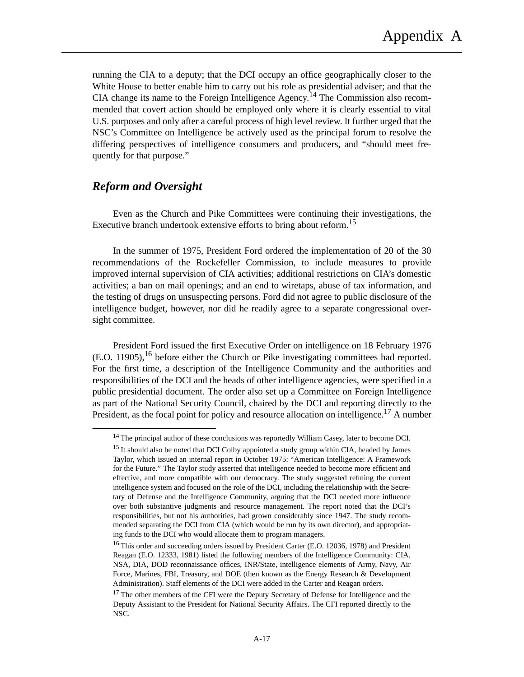running the CIA to a deputy; that the DCI occupy an office geographically closer to the White House to better enable him to carry out his role as presidential adviser; and that the CIA change its name to the Foreign Intelligence Agency.<sup>14</sup> The Commission also recommended that covert action should be employed only where it is clearly essential to vital U.S. purposes and only after a careful process of high level review. It further urged that the NSC's Committee on Intelligence be actively used as the principal forum to resolve the differing perspectives of intelligence consumers and producers, and "should meet frequently for that purpose."

## *Reform and Oversight*

Even as the Church and Pike Committees were continuing their investigations, the Executive branch undertook extensive efforts to bring about reform.<sup>15</sup>

In the summer of 1975, President Ford ordered the implementation of 20 of the 30 recommendations of the Rockefeller Commission, to include measures to provide improved internal supervision of CIA activities; additional restrictions on CIA's domestic activities; a ban on mail openings; and an end to wiretaps, abuse of tax information, and the testing of drugs on unsuspecting persons. Ford did not agree to public disclosure of the intelligence budget, however, nor did he readily agree to a separate congressional oversight committee.

President Ford issued the first Executive Order on intelligence on 18 February 1976  $($ E.O. 11905 $),$ <sup>16</sup> before either the Church or Pike investigating committees had reported. For the first time, a description of the Intelligence Community and the authorities and responsibilities of the DCI and the heads of other intelligence agencies, were specified in a public presidential document. The order also set up a Committee on Foreign Intelligence as part of the National Security Council, chaired by the DCI and reporting directly to the President, as the focal point for policy and resource allocation on intelligence.<sup>17</sup> A number

 $14$  The principal author of these conclusions was reportedly William Casey, later to become DCI.

<sup>&</sup>lt;sup>15</sup> It should also be noted that DCI Colby appointed a study group within CIA, headed by James Taylor, which issued an internal report in October 1975: "American Intelligence: A Framework for the Future." The Taylor study asserted that intelligence needed to become more efficient and effective, and more compatible with our democracy. The study suggested refining the current intelligence system and focused on the role of the DCI, including the relationship with the Secretary of Defense and the Intelligence Community, arguing that the DCI needed more influence over both substantive judgments and resource management. The report noted that the DCI's responsibilities, but not his authorities, had grown considerably since 1947. The study recommended separating the DCI from CIA (which would be run by its own director), and appropriating funds to the DCI who would allocate them to program managers.

<sup>&</sup>lt;sup>16</sup> This order and succeeding orders issued by President Carter (E.O. 12036, 1978) and President Reagan (E.O. 12333, 1981) listed the following members of the Intelligence Community: CIA, NSA, DIA, DOD reconnaissance offices, INR/State, intelligence elements of Army, Navy, Air Force, Marines, FBI, Treasury, and DOE (then known as the Energy Research & Development Administration). Staff elements of the DCI were added in the Carter and Reagan orders.

<sup>&</sup>lt;sup>17</sup> The other members of the CFI were the Deputy Secretary of Defense for Intelligence and the Deputy Assistant to the President for National Security Affairs. The CFI reported directly to the NSC.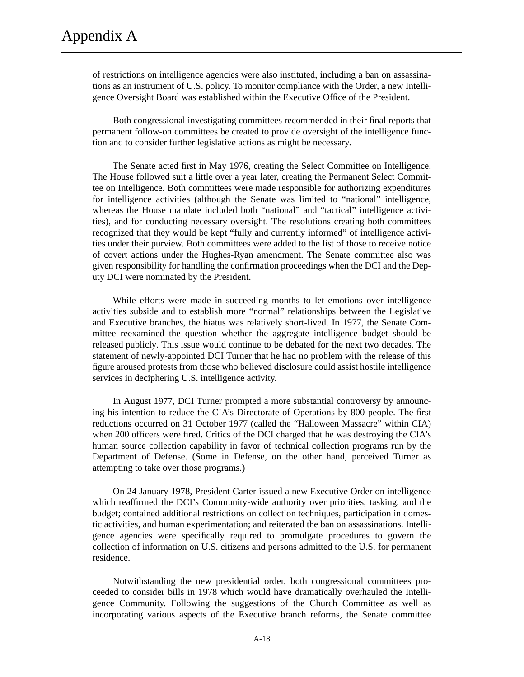of restrictions on intelligence agencies were also instituted, including a ban on assassinations as an instrument of U.S. policy. To monitor compliance with the Order, a new Intelligence Oversight Board was established within the Executive Office of the President.

Both congressional investigating committees recommended in their final reports that permanent follow-on committees be created to provide oversight of the intelligence function and to consider further legislative actions as might be necessary.

The Senate acted first in May 1976, creating the Select Committee on Intelligence. The House followed suit a little over a year later, creating the Permanent Select Committee on Intelligence. Both committees were made responsible for authorizing expenditures for intelligence activities (although the Senate was limited to "national" intelligence, whereas the House mandate included both "national" and "tactical" intelligence activities), and for conducting necessary oversight. The resolutions creating both committees recognized that they would be kept "fully and currently informed" of intelligence activities under their purview. Both committees were added to the list of those to receive notice of covert actions under the Hughes-Ryan amendment. The Senate committee also was given responsibility for handling the confirmation proceedings when the DCI and the Deputy DCI were nominated by the President.

While efforts were made in succeeding months to let emotions over intelligence activities subside and to establish more "normal" relationships between the Legislative and Executive branches, the hiatus was relatively short-lived. In 1977, the Senate Committee reexamined the question whether the aggregate intelligence budget should be released publicly. This issue would continue to be debated for the next two decades. The statement of newly-appointed DCI Turner that he had no problem with the release of this figure aroused protests from those who believed disclosure could assist hostile intelligence services in deciphering U.S. intelligence activity.

In August 1977, DCI Turner prompted a more substantial controversy by announcing his intention to reduce the CIA's Directorate of Operations by 800 people. The first reductions occurred on 31 October 1977 (called the "Halloween Massacre" within CIA) when 200 officers were fired. Critics of the DCI charged that he was destroying the CIA's human source collection capability in favor of technical collection programs run by the Department of Defense. (Some in Defense, on the other hand, perceived Turner as attempting to take over those programs.)

On 24 January 1978, President Carter issued a new Executive Order on intelligence which reaffirmed the DCI's Community-wide authority over priorities, tasking, and the budget; contained additional restrictions on collection techniques, participation in domestic activities, and human experimentation; and reiterated the ban on assassinations. Intelligence agencies were specifically required to promulgate procedures to govern the collection of information on U.S. citizens and persons admitted to the U.S. for permanent residence.

Notwithstanding the new presidential order, both congressional committees proceeded to consider bills in 1978 which would have dramatically overhauled the Intelligence Community. Following the suggestions of the Church Committee as well as incorporating various aspects of the Executive branch reforms, the Senate committee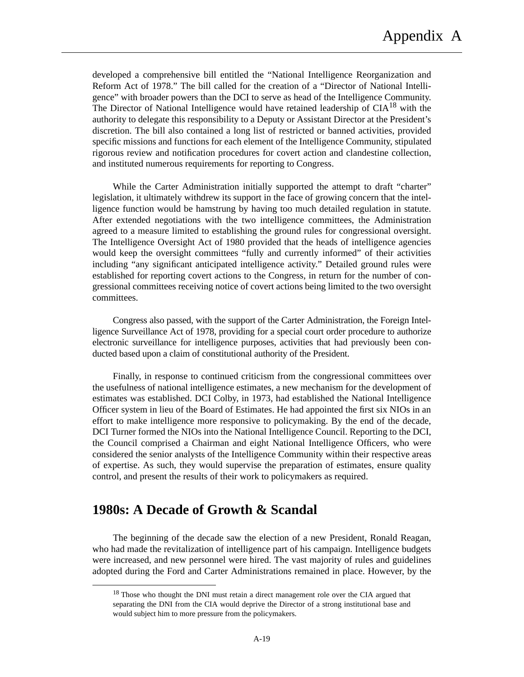developed a comprehensive bill entitled the "National Intelligence Reorganization and Reform Act of 1978." The bill called for the creation of a "Director of National Intelligence" with broader powers than the DCI to serve as head of the Intelligence Community. The Director of National Intelligence would have retained leadership of  $CIA<sup>18</sup>$  with the authority to delegate this responsibility to a Deputy or Assistant Director at the President's discretion. The bill also contained a long list of restricted or banned activities, provided specific missions and functions for each element of the Intelligence Community, stipulated rigorous review and notification procedures for covert action and clandestine collection, and instituted numerous requirements for reporting to Congress.

While the Carter Administration initially supported the attempt to draft "charter" legislation, it ultimately withdrew its support in the face of growing concern that the intelligence function would be hamstrung by having too much detailed regulation in statute. After extended negotiations with the two intelligence committees, the Administration agreed to a measure limited to establishing the ground rules for congressional oversight. The Intelligence Oversight Act of 1980 provided that the heads of intelligence agencies would keep the oversight committees "fully and currently informed" of their activities including "any significant anticipated intelligence activity." Detailed ground rules were established for reporting covert actions to the Congress, in return for the number of congressional committees receiving notice of covert actions being limited to the two oversight committees.

Congress also passed, with the support of the Carter Administration, the Foreign Intelligence Surveillance Act of 1978, providing for a special court order procedure to authorize electronic surveillance for intelligence purposes, activities that had previously been conducted based upon a claim of constitutional authority of the President.

Finally, in response to continued criticism from the congressional committees over the usefulness of national intelligence estimates, a new mechanism for the development of estimates was established. DCI Colby, in 1973, had established the National Intelligence Officer system in lieu of the Board of Estimates. He had appointed the first six NIOs in an effort to make intelligence more responsive to policymaking. By the end of the decade, DCI Turner formed the NIOs into the National Intelligence Council. Reporting to the DCI, the Council comprised a Chairman and eight National Intelligence Officers, who were considered the senior analysts of the Intelligence Community within their respective areas of expertise. As such, they would supervise the preparation of estimates, ensure quality control, and present the results of their work to policymakers as required.

## **1980s: A Decade of Growth & Scandal**

The beginning of the decade saw the election of a new President, Ronald Reagan, who had made the revitalization of intelligence part of his campaign. Intelligence budgets were increased, and new personnel were hired. The vast majority of rules and guidelines adopted during the Ford and Carter Administrations remained in place. However, by the

 $18$  Those who thought the DNI must retain a direct management role over the CIA argued that separating the DNI from the CIA would deprive the Director of a strong institutional base and would subject him to more pressure from the policymakers.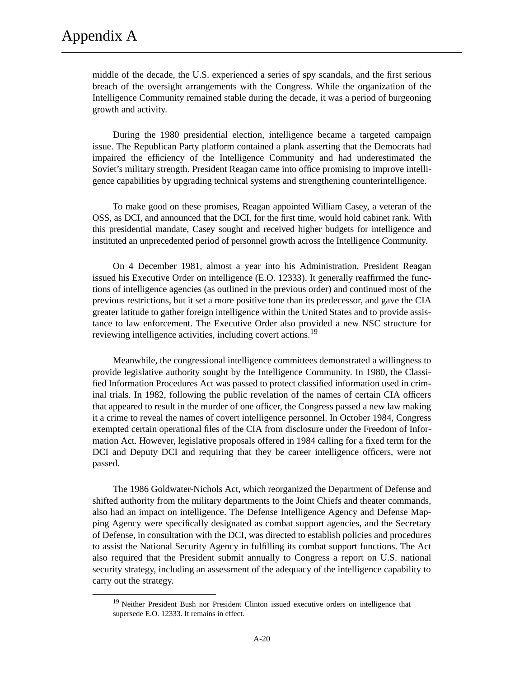middle of the decade, the U.S. experienced a series of spy scandals, and the first serious breach of the oversight arrangements with the Congress. While the organization of the Intelligence Community remained stable during the decade, it was a period of burgeoning growth and activity.

During the 1980 presidential election, intelligence became a targeted campaign issue. The Republican Party platform contained a plank asserting that the Democrats had impaired the efficiency of the Intelligence Community and had underestimated the Soviet's military strength. President Reagan came into office promising to improve intelligence capabilities by upgrading technical systems and strengthening counterintelligence.

To make good on these promises, Reagan appointed William Casey, a veteran of the OSS, as DCI, and announced that the DCI, for the first time, would hold cabinet rank. With this presidential mandate, Casey sought and received higher budgets for intelligence and instituted an unprecedented period of personnel growth across the Intelligence Community.

On 4 December 1981, almost a year into his Administration, President Reagan issued his Executive Order on intelligence (E.O. 12333). It generally reaffirmed the functions of intelligence agencies (as outlined in the previous order) and continued most of the previous restrictions, but it set a more positive tone than its predecessor, and gave the CIA greater latitude to gather foreign intelligence within the United States and to provide assistance to law enforcement. The Executive Order also provided a new NSC structure for reviewing intelligence activities, including covert actions.<sup>19</sup>

Meanwhile, the congressional intelligence committees demonstrated a willingness to provide legislative authority sought by the Intelligence Community. In 1980, the Classified Information Procedures Act was passed to protect classified information used in criminal trials. In 1982, following the public revelation of the names of certain CIA officers that appeared to result in the murder of one officer, the Congress passed a new law making it a crime to reveal the names of covert intelligence personnel. In October 1984, Congress exempted certain operational files of the CIA from disclosure under the Freedom of Information Act. However, legislative proposals offered in 1984 calling for a fixed term for the DCI and Deputy DCI and requiring that they be career intelligence officers, were not passed.

The 1986 Goldwater-Nichols Act, which reorganized the Department of Defense and shifted authority from the military departments to the Joint Chiefs and theater commands, also had an impact on intelligence. The Defense Intelligence Agency and Defense Mapping Agency were specifically designated as combat support agencies, and the Secretary of Defense, in consultation with the DCI, was directed to establish policies and procedures to assist the National Security Agency in fulfilling its combat support functions. The Act also required that the President submit annually to Congress a report on U.S. national security strategy, including an assessment of the adequacy of the intelligence capability to carry out the strategy.

<sup>&</sup>lt;sup>19</sup> Neither President Bush nor President Clinton issued executive orders on intelligence that supersede E.O. 12333. It remains in effect.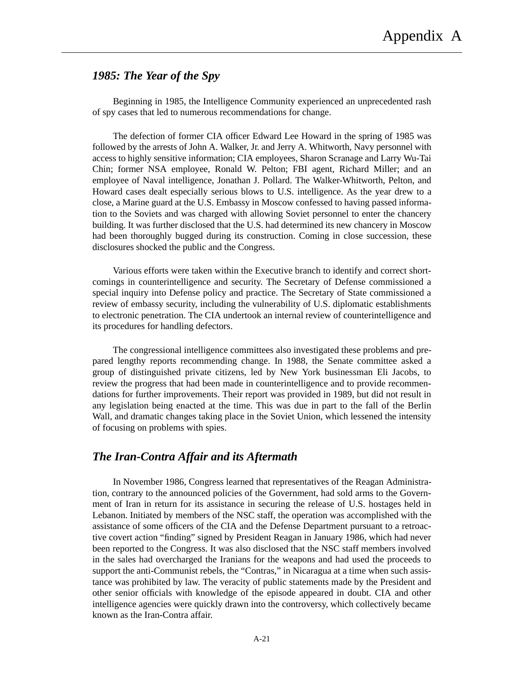## *1985: The Year of the Spy*

Beginning in 1985, the Intelligence Community experienced an unprecedented rash of spy cases that led to numerous recommendations for change.

The defection of former CIA officer Edward Lee Howard in the spring of 1985 was followed by the arrests of John A. Walker, Jr. and Jerry A. Whitworth, Navy personnel with access to highly sensitive information; CIA employees, Sharon Scranage and Larry Wu-Tai Chin; former NSA employee, Ronald W. Pelton; FBI agent, Richard Miller; and an employee of Naval intelligence, Jonathan J. Pollard. The Walker-Whitworth, Pelton, and Howard cases dealt especially serious blows to U.S. intelligence. As the year drew to a close, a Marine guard at the U.S. Embassy in Moscow confessed to having passed information to the Soviets and was charged with allowing Soviet personnel to enter the chancery building. It was further disclosed that the U.S. had determined its new chancery in Moscow had been thoroughly bugged during its construction. Coming in close succession, these disclosures shocked the public and the Congress.

Various efforts were taken within the Executive branch to identify and correct shortcomings in counterintelligence and security. The Secretary of Defense commissioned a special inquiry into Defense policy and practice. The Secretary of State commissioned a review of embassy security, including the vulnerability of U.S. diplomatic establishments to electronic penetration. The CIA undertook an internal review of counterintelligence and its procedures for handling defectors.

The congressional intelligence committees also investigated these problems and prepared lengthy reports recommending change. In 1988, the Senate committee asked a group of distinguished private citizens, led by New York businessman Eli Jacobs, to review the progress that had been made in counterintelligence and to provide recommendations for further improvements. Their report was provided in 1989, but did not result in any legislation being enacted at the time. This was due in part to the fall of the Berlin Wall, and dramatic changes taking place in the Soviet Union, which lessened the intensity of focusing on problems with spies.

### *The Iran-Contra Affair and its Aftermath*

In November 1986, Congress learned that representatives of the Reagan Administration, contrary to the announced policies of the Government, had sold arms to the Government of Iran in return for its assistance in securing the release of U.S. hostages held in Lebanon. Initiated by members of the NSC staff, the operation was accomplished with the assistance of some officers of the CIA and the Defense Department pursuant to a retroactive covert action "finding" signed by President Reagan in January 1986, which had never been reported to the Congress. It was also disclosed that the NSC staff members involved in the sales had overcharged the Iranians for the weapons and had used the proceeds to support the anti-Communist rebels, the "Contras," in Nicaragua at a time when such assistance was prohibited by law. The veracity of public statements made by the President and other senior officials with knowledge of the episode appeared in doubt. CIA and other intelligence agencies were quickly drawn into the controversy, which collectively became known as the Iran-Contra affair.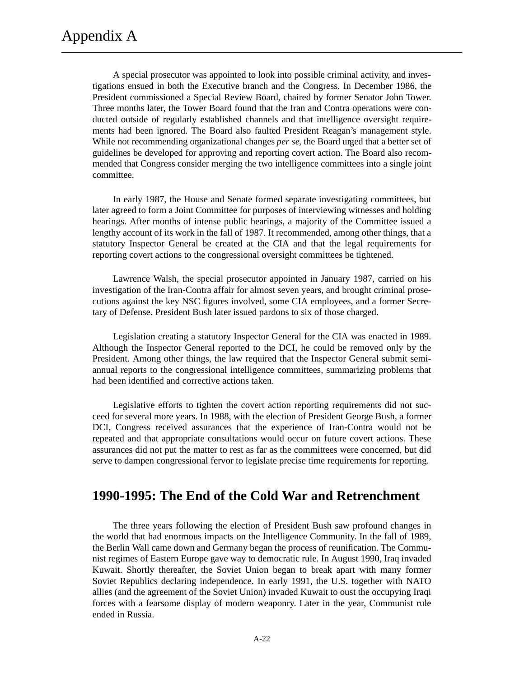A special prosecutor was appointed to look into possible criminal activity, and investigations ensued in both the Executive branch and the Congress. In December 1986, the President commissioned a Special Review Board, chaired by former Senator John Tower. Three months later, the Tower Board found that the Iran and Contra operations were conducted outside of regularly established channels and that intelligence oversight requirements had been ignored. The Board also faulted President Reagan's management style. While not recommending organizational changes *per se*, the Board urged that a better set of guidelines be developed for approving and reporting covert action. The Board also recommended that Congress consider merging the two intelligence committees into a single joint committee.

In early 1987, the House and Senate formed separate investigating committees, but later agreed to form a Joint Committee for purposes of interviewing witnesses and holding hearings. After months of intense public hearings, a majority of the Committee issued a lengthy account of its work in the fall of 1987. It recommended, among other things, that a statutory Inspector General be created at the CIA and that the legal requirements for reporting covert actions to the congressional oversight committees be tightened.

Lawrence Walsh, the special prosecutor appointed in January 1987, carried on his investigation of the Iran-Contra affair for almost seven years, and brought criminal prosecutions against the key NSC figures involved, some CIA employees, and a former Secretary of Defense. President Bush later issued pardons to six of those charged.

Legislation creating a statutory Inspector General for the CIA was enacted in 1989. Although the Inspector General reported to the DCI, he could be removed only by the President. Among other things, the law required that the Inspector General submit semiannual reports to the congressional intelligence committees, summarizing problems that had been identified and corrective actions taken.

Legislative efforts to tighten the covert action reporting requirements did not succeed for several more years. In 1988, with the election of President George Bush, a former DCI, Congress received assurances that the experience of Iran-Contra would not be repeated and that appropriate consultations would occur on future covert actions. These assurances did not put the matter to rest as far as the committees were concerned, but did serve to dampen congressional fervor to legislate precise time requirements for reporting.

## **1990-1995: The End of the Cold War and Retrenchment**

The three years following the election of President Bush saw profound changes in the world that had enormous impacts on the Intelligence Community. In the fall of 1989, the Berlin Wall came down and Germany began the process of reunification. The Communist regimes of Eastern Europe gave way to democratic rule. In August 1990, Iraq invaded Kuwait. Shortly thereafter, the Soviet Union began to break apart with many former Soviet Republics declaring independence. In early 1991, the U.S. together with NATO allies (and the agreement of the Soviet Union) invaded Kuwait to oust the occupying Iraqi forces with a fearsome display of modern weaponry. Later in the year, Communist rule ended in Russia.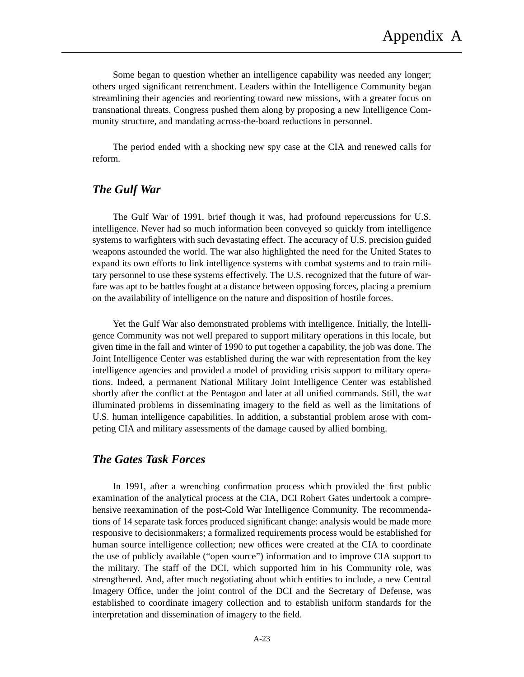Some began to question whether an intelligence capability was needed any longer; others urged significant retrenchment. Leaders within the Intelligence Community began streamlining their agencies and reorienting toward new missions, with a greater focus on transnational threats. Congress pushed them along by proposing a new Intelligence Community structure, and mandating across-the-board reductions in personnel.

The period ended with a shocking new spy case at the CIA and renewed calls for reform.

## *The Gulf War*

The Gulf War of 1991, brief though it was, had profound repercussions for U.S. intelligence. Never had so much information been conveyed so quickly from intelligence systems to warfighters with such devastating effect. The accuracy of U.S. precision guided weapons astounded the world. The war also highlighted the need for the United States to expand its own efforts to link intelligence systems with combat systems and to train military personnel to use these systems effectively. The U.S. recognized that the future of warfare was apt to be battles fought at a distance between opposing forces, placing a premium on the availability of intelligence on the nature and disposition of hostile forces.

Yet the Gulf War also demonstrated problems with intelligence. Initially, the Intelligence Community was not well prepared to support military operations in this locale, but given time in the fall and winter of 1990 to put together a capability, the job was done. The Joint Intelligence Center was established during the war with representation from the key intelligence agencies and provided a model of providing crisis support to military operations. Indeed, a permanent National Military Joint Intelligence Center was established shortly after the conflict at the Pentagon and later at all unified commands. Still, the war illuminated problems in disseminating imagery to the field as well as the limitations of U.S. human intelligence capabilities. In addition, a substantial problem arose with competing CIA and military assessments of the damage caused by allied bombing.

### *The Gates Task Forces*

In 1991, after a wrenching confirmation process which provided the first public examination of the analytical process at the CIA, DCI Robert Gates undertook a comprehensive reexamination of the post-Cold War Intelligence Community. The recommendations of 14 separate task forces produced significant change: analysis would be made more responsive to decisionmakers; a formalized requirements process would be established for human source intelligence collection; new offices were created at the CIA to coordinate the use of publicly available ("open source") information and to improve CIA support to the military. The staff of the DCI, which supported him in his Community role, was strengthened. And, after much negotiating about which entities to include, a new Central Imagery Office, under the joint control of the DCI and the Secretary of Defense, was established to coordinate imagery collection and to establish uniform standards for the interpretation and dissemination of imagery to the field.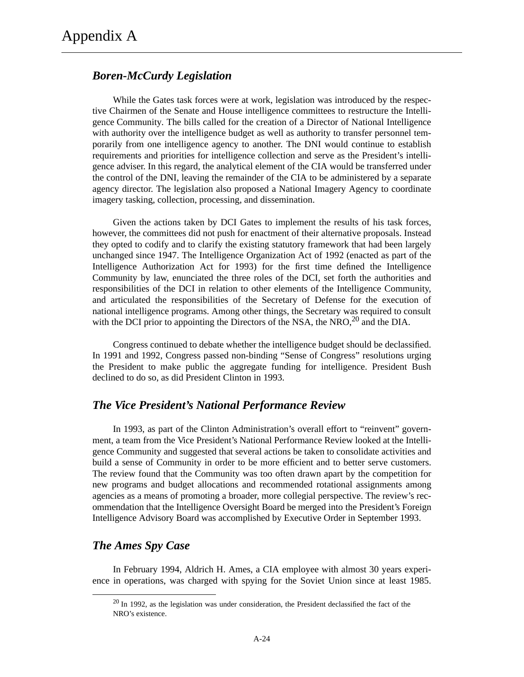## *Boren-McCurdy Legislation*

While the Gates task forces were at work, legislation was introduced by the respective Chairmen of the Senate and House intelligence committees to restructure the Intelligence Community. The bills called for the creation of a Director of National Intelligence with authority over the intelligence budget as well as authority to transfer personnel temporarily from one intelligence agency to another. The DNI would continue to establish requirements and priorities for intelligence collection and serve as the President's intelligence adviser. In this regard, the analytical element of the CIA would be transferred under the control of the DNI, leaving the remainder of the CIA to be administered by a separate agency director. The legislation also proposed a National Imagery Agency to coordinate imagery tasking, collection, processing, and dissemination.

Given the actions taken by DCI Gates to implement the results of his task forces, however, the committees did not push for enactment of their alternative proposals. Instead they opted to codify and to clarify the existing statutory framework that had been largely unchanged since 1947. The Intelligence Organization Act of 1992 (enacted as part of the Intelligence Authorization Act for 1993) for the first time defined the Intelligence Community by law, enunciated the three roles of the DCI, set forth the authorities and responsibilities of the DCI in relation to other elements of the Intelligence Community, and articulated the responsibilities of the Secretary of Defense for the execution of national intelligence programs. Among other things, the Secretary was required to consult with the DCI prior to appointing the Directors of the NSA, the NRO,  $^{20}$  and the DIA.

Congress continued to debate whether the intelligence budget should be declassified. In 1991 and 1992, Congress passed non-binding "Sense of Congress" resolutions urging the President to make public the aggregate funding for intelligence. President Bush declined to do so, as did President Clinton in 1993.

## *The Vice President's National Performance Review*

In 1993, as part of the Clinton Administration's overall effort to "reinvent" government, a team from the Vice President's National Performance Review looked at the Intelligence Community and suggested that several actions be taken to consolidate activities and build a sense of Community in order to be more efficient and to better serve customers. The review found that the Community was too often drawn apart by the competition for new programs and budget allocations and recommended rotational assignments among agencies as a means of promoting a broader, more collegial perspective. The review's recommendation that the Intelligence Oversight Board be merged into the President's Foreign Intelligence Advisory Board was accomplished by Executive Order in September 1993.

## *The Ames Spy Case*

In February 1994, Aldrich H. Ames, a CIA employee with almost 30 years experience in operations, was charged with spying for the Soviet Union since at least 1985.

<sup>&</sup>lt;sup>20</sup> In 1992, as the legislation was under consideration, the President declassified the fact of the NRO's existence.